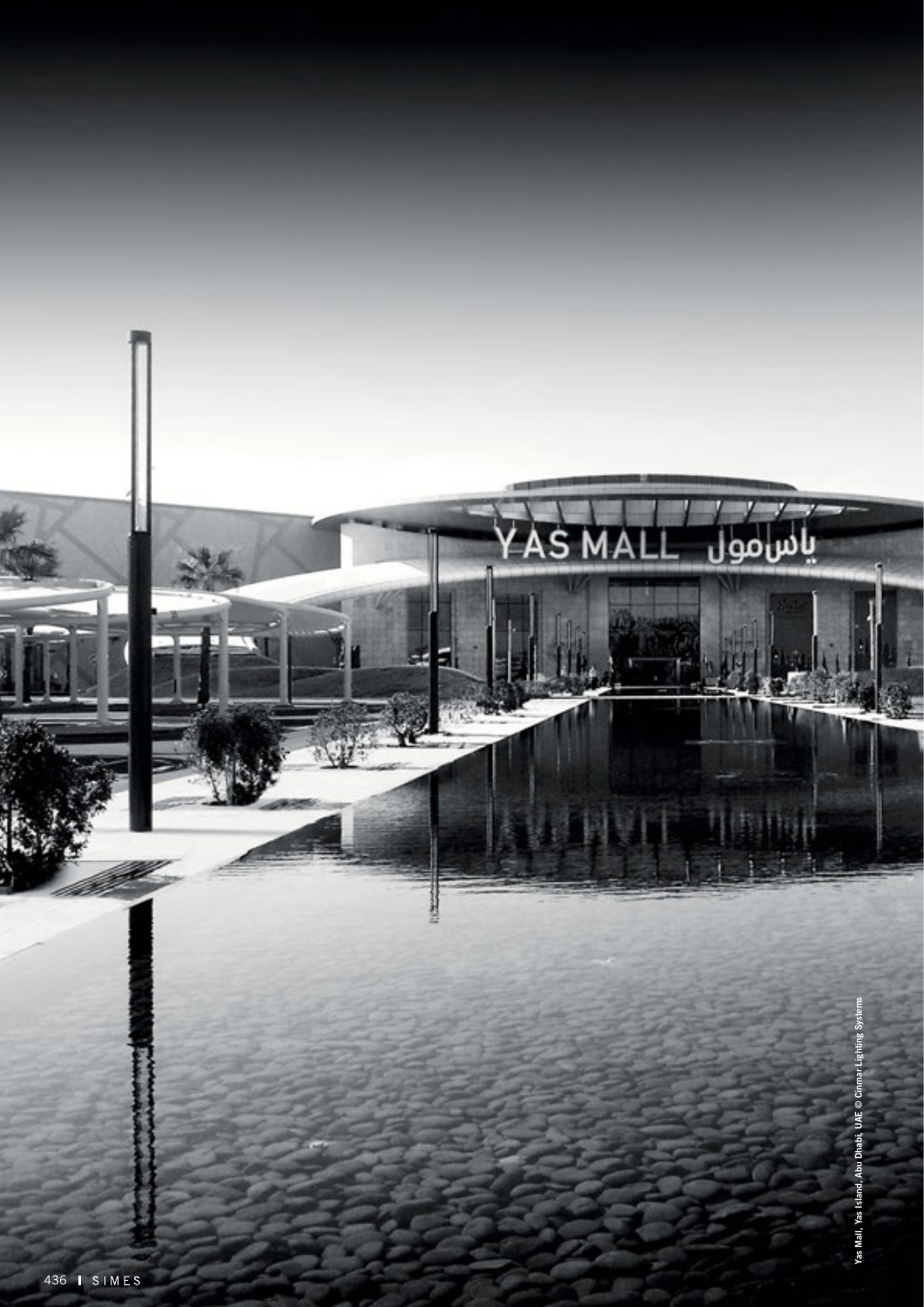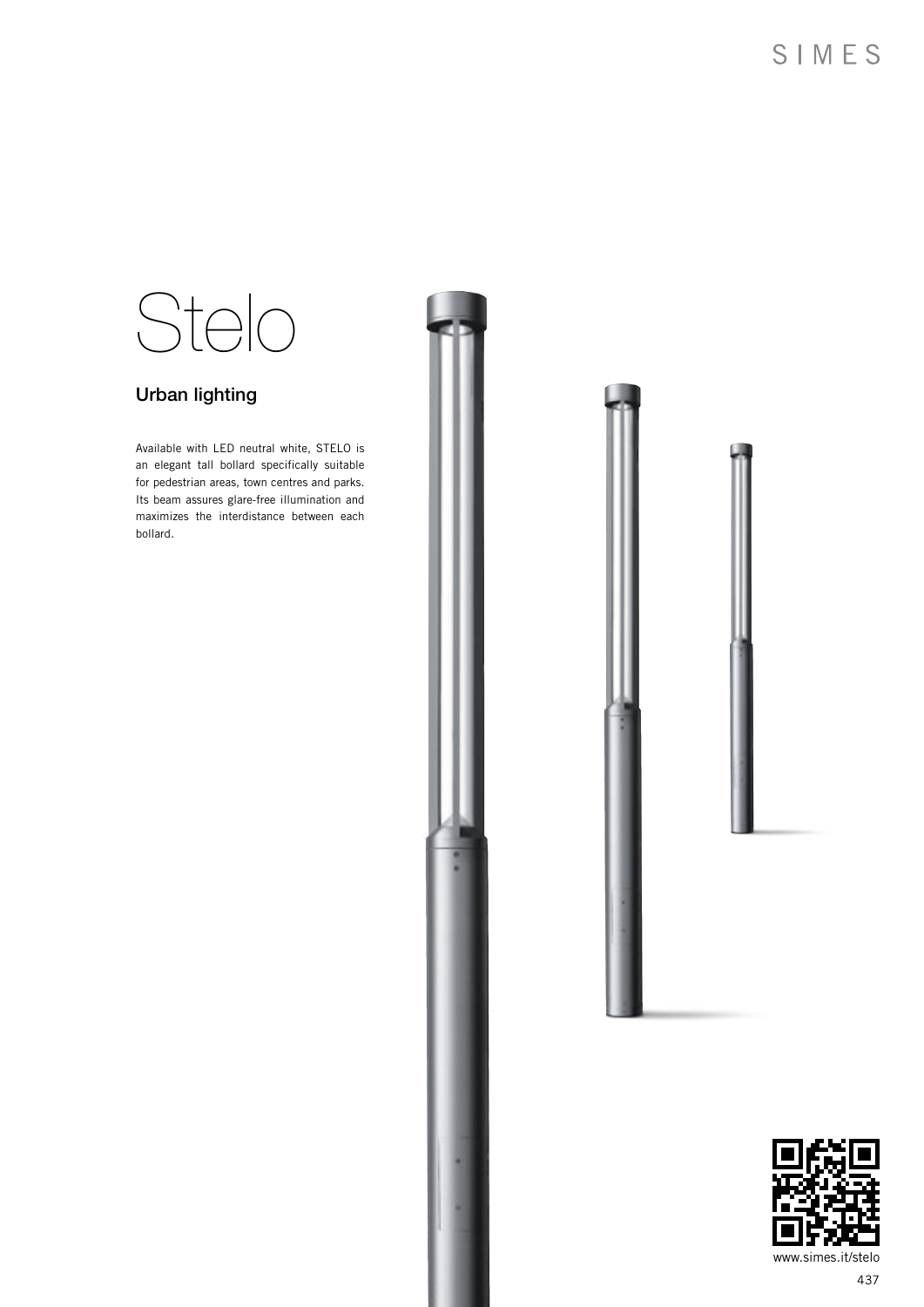# Stelo

## Urban lighting

Available with LED neutral white, STELO is an elegant tall bollard specifically suitable for pedestrian areas, town centres and parks. Its beam assures glare-free illumination and maximizes the interdistance between each bollard.





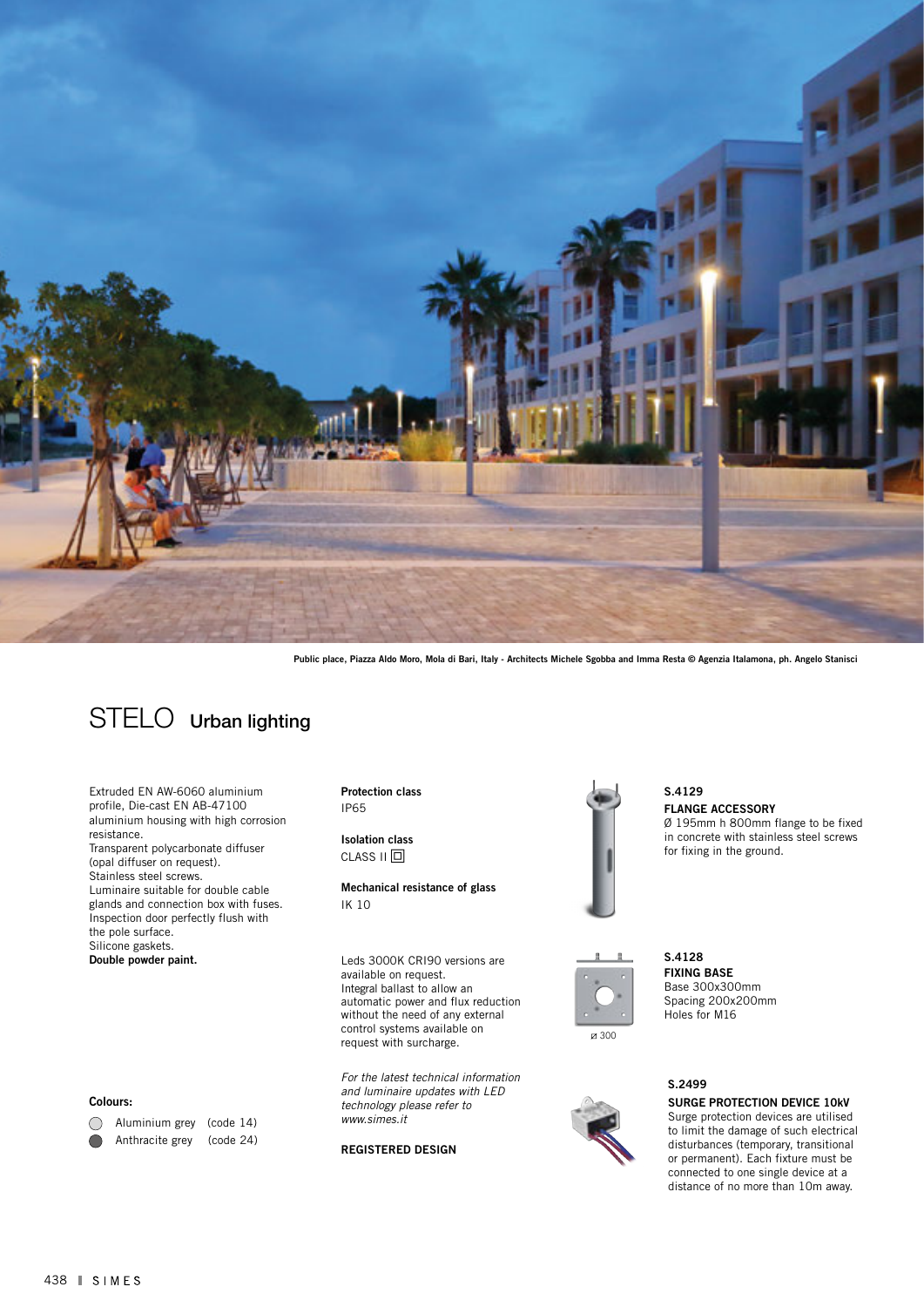

Public place, Piazza Aldo Moro, Mola di Bari, Italy - Architects Michele Sgobba and Imma Resta © Agenzia Italamona, ph. Angelo Stanisci



Extruded EN AW-6060 aluminium profile, Die-cast EN AB-47100 aluminium housing with high corrosion resistance. Transparent polycarbonate diffuser (opal diffuser on request). Stainless steel screws. Luminaire suitable for double cable glands and connection box with fuses. Inspection door perfectly flush with the pole surface. Silicone gaskets. Double powder paint.

Protection class IP65

Isolation class  $CLASS II  $\Box$$ 

Mechanical resistance of glass IK 10

Leds 3000K CRI90 versions are available on request. Integral ballast to allow an automatic power and flux reduction without the need of any external control systems available on request with surcharge.

*For the latest technical information and luminaire updates with LED technology please refer to www.simes.it* 

### REGISTERED DESIGN



FLANGE ACCESSORY Ø 195mm h 800mm flange to be fixed in concrete with stainless steel screws for fixing in the ground. S.4129



FIXING BASE Base 300x300mm Spacing 200x200mm Holes for M16 S.4128

## S.2499

## SURGE PROTECTION DEVICE 10kV

Surge protection devices are utilised to limit the damage of such electrical disturbances (temporary, transitional or permanent). Each fixture must be connected to one single device at a distance of no more than 10m away.

### Colours: